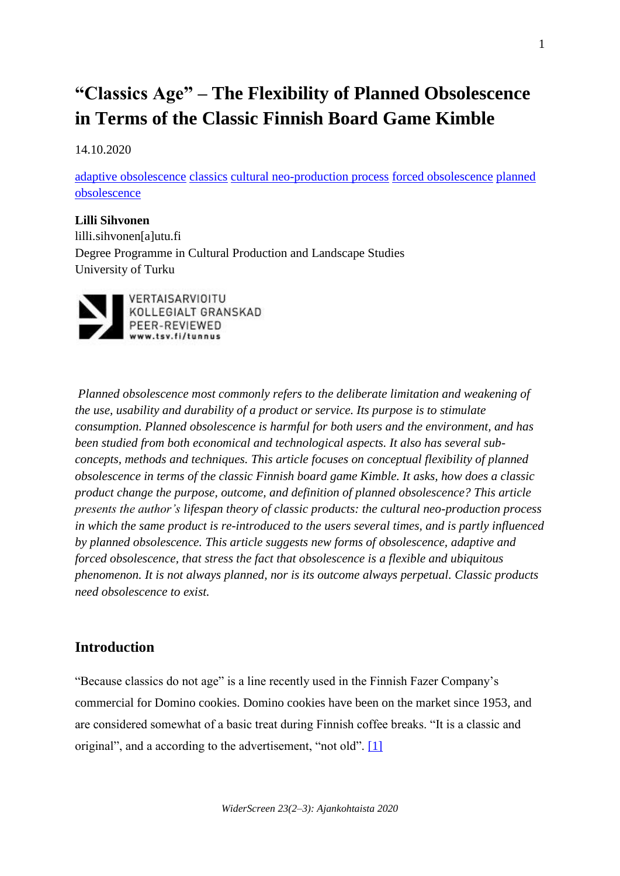# **"Classics Age" – The Flexibility of Planned Obsolescence in Terms of the Classic Finnish Board Game Kimble**

14.10.2020

[adaptive obsolescence](http://widerscreen.fi/akateeminen-avainsana/adaptive-obsolescence/) [classics](http://widerscreen.fi/akateeminen-avainsana/classics/) [cultural neo-production process](http://widerscreen.fi/akateeminen-avainsana/cultural-neo-production-process/) [forced obsolescence](http://widerscreen.fi/akateeminen-avainsana/forced-obsolescence/) [planned](http://widerscreen.fi/akateeminen-avainsana/planned-obsolescence/)  [obsolescence](http://widerscreen.fi/akateeminen-avainsana/planned-obsolescence/)

## **Lilli Sihvonen**

lilli.sihvonen[a]utu.fi Degree Programme in Cultural Production and Landscape Studies University of Turku



*Planned obsolescence most commonly refers to the deliberate limitation and weakening of the use, usability and durability of a product or service. Its purpose is to stimulate consumption. Planned obsolescence is harmful for both users and the environment, and has been studied from both economical and technological aspects. It also has several subconcepts, methods and techniques. This article focuses on conceptual flexibility of planned obsolescence in terms of the classic Finnish board game Kimble. It asks, how does a classic product change the purpose, outcome, and definition of planned obsolescence? This article presents the author's lifespan theory of classic products: the cultural neo-production process in which the same product is re-introduced to the users several times, and is partly influenced by planned obsolescence. This article suggests new forms of obsolescence, adaptive and forced obsolescence, that stress the fact that obsolescence is a flexible and ubiquitous phenomenon. It is not always planned, nor is its outcome always perpetual. Classic products need obsolescence to exist.*

# **Introduction**

"Because classics do not age" is a line recently used in the Finnish Fazer Company's commercial for Domino cookies. Domino cookies have been on the market since 1953, and are considered somewhat of a basic treat during Finnish coffee breaks. "It is a classic and original", and a according to the advertisement, "not old". [\[1\]](http://widerscreen.fi/numerot/ajankohtaista/classics-age-the-flexibility-of-planned-obsolescence-in-terms-of-the-classic-finnish-board-game-kimble/?preview_id=5078&preview_nonce=270115153c&preview=true#_edn1)

1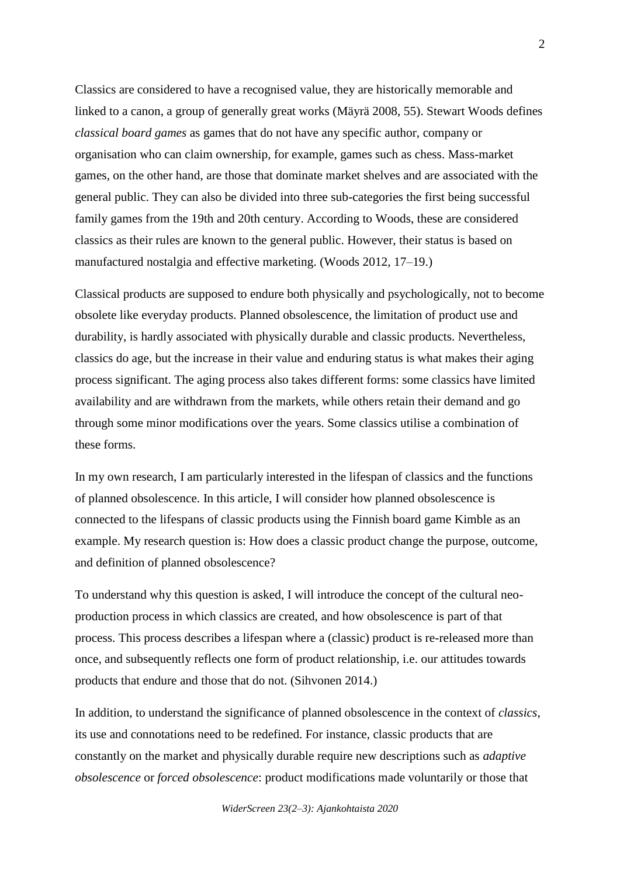Classics are considered to have a recognised value, they are historically memorable and linked to a canon, a group of generally great works (Mäyrä 2008, 55). Stewart Woods defines *classical board games* as games that do not have any specific author, company or organisation who can claim ownership, for example, games such as chess. Mass-market games, on the other hand, are those that dominate market shelves and are associated with the general public. They can also be divided into three sub-categories the first being successful family games from the 19th and 20th century. According to Woods, these are considered classics as their rules are known to the general public. However, their status is based on manufactured nostalgia and effective marketing. (Woods 2012, 17–19.)

Classical products are supposed to endure both physically and psychologically, not to become obsolete like everyday products. Planned obsolescence, the limitation of product use and durability, is hardly associated with physically durable and classic products. Nevertheless, classics do age, but the increase in their value and enduring status is what makes their aging process significant. The aging process also takes different forms: some classics have limited availability and are withdrawn from the markets, while others retain their demand and go through some minor modifications over the years. Some classics utilise a combination of these forms.

In my own research, I am particularly interested in the lifespan of classics and the functions of planned obsolescence. In this article, I will consider how planned obsolescence is connected to the lifespans of classic products using the Finnish board game Kimble as an example. My research question is: How does a classic product change the purpose, outcome, and definition of planned obsolescence?

To understand why this question is asked, I will introduce the concept of the cultural neoproduction process in which classics are created, and how obsolescence is part of that process. This process describes a lifespan where a (classic) product is re-released more than once, and subsequently reflects one form of product relationship, i.e. our attitudes towards products that endure and those that do not. (Sihvonen 2014.)

In addition, to understand the significance of planned obsolescence in the context of *classics*, its use and connotations need to be redefined. For instance, classic products that are constantly on the market and physically durable require new descriptions such as *adaptive obsolescence* or *forced obsolescence*: product modifications made voluntarily or those that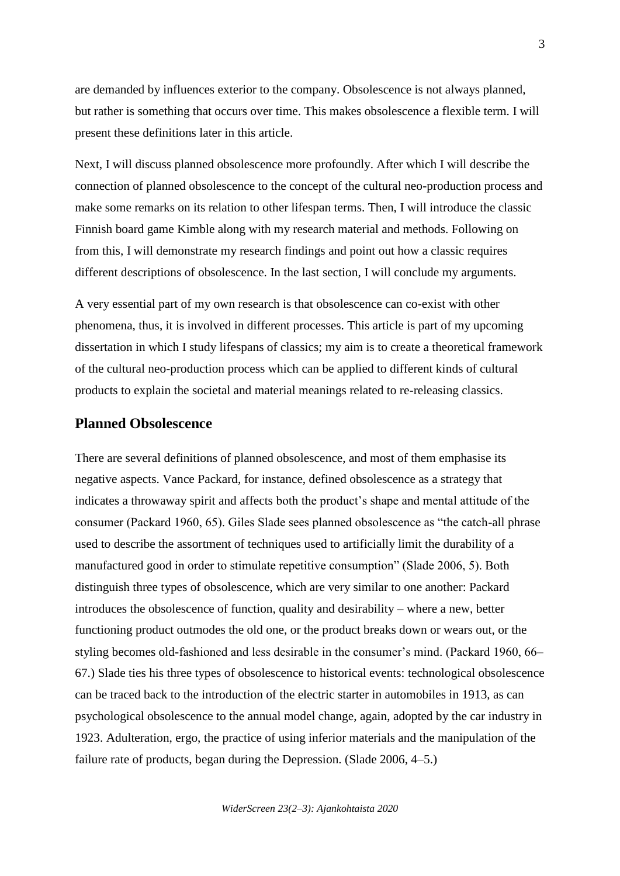are demanded by influences exterior to the company. Obsolescence is not always planned, but rather is something that occurs over time. This makes obsolescence a flexible term. I will present these definitions later in this article.

Next, I will discuss planned obsolescence more profoundly. After which I will describe the connection of planned obsolescence to the concept of the cultural neo-production process and make some remarks on its relation to other lifespan terms. Then, I will introduce the classic Finnish board game Kimble along with my research material and methods. Following on from this, I will demonstrate my research findings and point out how a classic requires different descriptions of obsolescence. In the last section, I will conclude my arguments.

A very essential part of my own research is that obsolescence can co-exist with other phenomena, thus, it is involved in different processes. This article is part of my upcoming dissertation in which I study lifespans of classics; my aim is to create a theoretical framework of the cultural neo-production process which can be applied to different kinds of cultural products to explain the societal and material meanings related to re-releasing classics.

#### **Planned Obsolescence**

There are several definitions of planned obsolescence, and most of them emphasise its negative aspects. Vance Packard, for instance, defined obsolescence as a strategy that indicates a throwaway spirit and affects both the product's shape and mental attitude of the consumer (Packard 1960, 65). Giles Slade sees planned obsolescence as "the catch-all phrase used to describe the assortment of techniques used to artificially limit the durability of a manufactured good in order to stimulate repetitive consumption" (Slade 2006, 5). Both distinguish three types of obsolescence, which are very similar to one another: Packard introduces the obsolescence of function, quality and desirability – where a new, better functioning product outmodes the old one, or the product breaks down or wears out, or the styling becomes old-fashioned and less desirable in the consumer's mind. (Packard 1960, 66– 67.) Slade ties his three types of obsolescence to historical events: technological obsolescence can be traced back to the introduction of the electric starter in automobiles in 1913, as can psychological obsolescence to the annual model change, again, adopted by the car industry in 1923. Adulteration, ergo, the practice of using inferior materials and the manipulation of the failure rate of products, began during the Depression. (Slade 2006, 4–5.)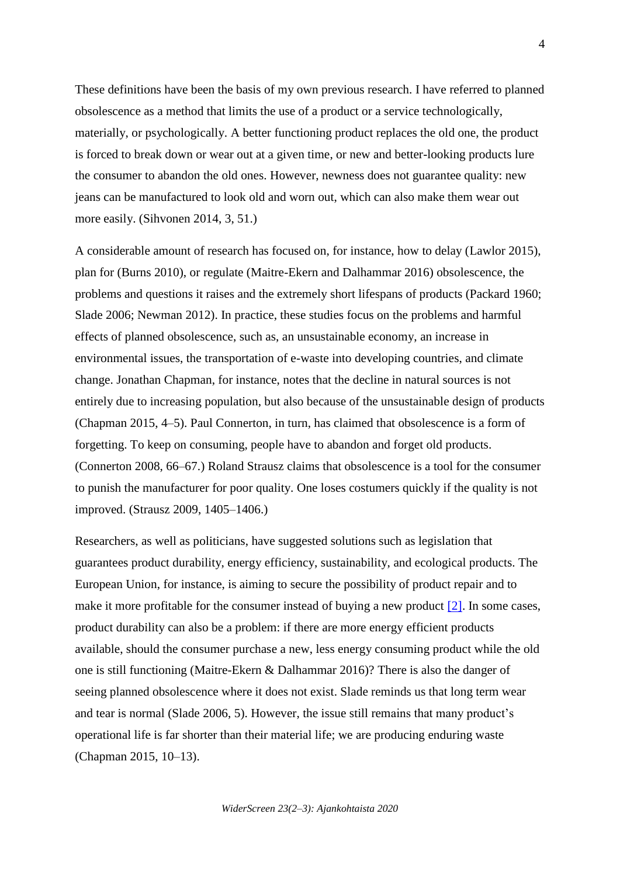These definitions have been the basis of my own previous research. I have referred to planned obsolescence as a method that limits the use of a product or a service technologically, materially, or psychologically. A better functioning product replaces the old one, the product is forced to break down or wear out at a given time, or new and better-looking products lure the consumer to abandon the old ones. However, newness does not guarantee quality: new jeans can be manufactured to look old and worn out, which can also make them wear out more easily. (Sihvonen 2014, 3, 51.)

A considerable amount of research has focused on, for instance, how to delay (Lawlor 2015), plan for (Burns 2010), or regulate (Maitre-Ekern and Dalhammar 2016) obsolescence, the problems and questions it raises and the extremely short lifespans of products (Packard 1960; Slade 2006; Newman 2012). In practice, these studies focus on the problems and harmful effects of planned obsolescence, such as, an unsustainable economy, an increase in environmental issues, the transportation of e-waste into developing countries, and climate change. Jonathan Chapman, for instance, notes that the decline in natural sources is not entirely due to increasing population, but also because of the unsustainable design of products (Chapman 2015, 4–5). Paul Connerton, in turn, has claimed that obsolescence is a form of forgetting. To keep on consuming, people have to abandon and forget old products. (Connerton 2008, 66–67.) Roland Strausz claims that obsolescence is a tool for the consumer to punish the manufacturer for poor quality. One loses costumers quickly if the quality is not improved. (Strausz 2009, 1405–1406.)

Researchers, as well as politicians, have suggested solutions such as legislation that guarantees product durability, energy efficiency, sustainability, and ecological products. The European Union, for instance, is aiming to secure the possibility of product repair and to make it more profitable for the consumer instead of buying a new product  $[2]$ . In some cases, product durability can also be a problem: if there are more energy efficient products available, should the consumer purchase a new, less energy consuming product while the old one is still functioning (Maitre-Ekern & Dalhammar 2016)? There is also the danger of seeing planned obsolescence where it does not exist. Slade reminds us that long term wear and tear is normal (Slade 2006, 5). However, the issue still remains that many product's operational life is far shorter than their material life; we are producing enduring waste (Chapman 2015, 10–13).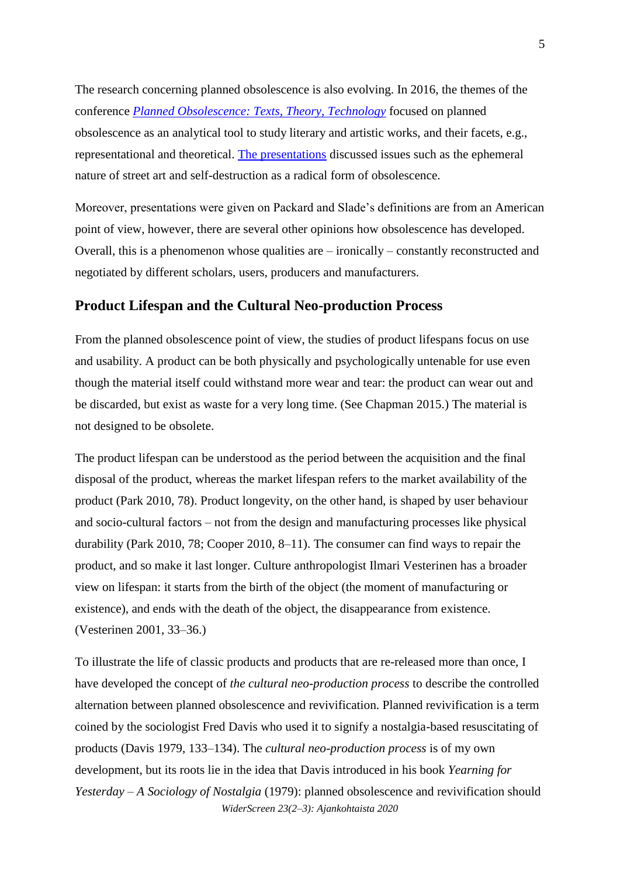The research concerning planned obsolescence is also evolving. In 2016, the themes of the conference *[Planned Obsolescence: Texts, Theory, Technology](http://plannedobsolescenceweb.wordpress.com/)* focused on planned obsolescence as an analytical tool to study literary and artistic works, and their facets, e.g., representational and theoretical. [The presentations](http://plannedobsolescenceweb.wordpress.com/program) discussed issues such as the ephemeral nature of street art and self-destruction as a radical form of obsolescence.

Moreover, presentations were given on Packard and Slade's definitions are from an American point of view, however, there are several other opinions how obsolescence has developed. Overall, this is a phenomenon whose qualities are – ironically – constantly reconstructed and negotiated by different scholars, users, producers and manufacturers.

### **Product Lifespan and the Cultural Neo-production Process**

From the planned obsolescence point of view, the studies of product lifespans focus on use and usability. A product can be both physically and psychologically untenable for use even though the material itself could withstand more wear and tear: the product can wear out and be discarded, but exist as waste for a very long time. (See Chapman 2015.) The material is not designed to be obsolete.

The product lifespan can be understood as the period between the acquisition and the final disposal of the product, whereas the market lifespan refers to the market availability of the product (Park 2010, 78). Product longevity, on the other hand, is shaped by user behaviour and socio-cultural factors – not from the design and manufacturing processes like physical durability (Park 2010, 78; Cooper 2010, 8–11). The consumer can find ways to repair the product, and so make it last longer. Culture anthropologist Ilmari Vesterinen has a broader view on lifespan: it starts from the birth of the object (the moment of manufacturing or existence), and ends with the death of the object, the disappearance from existence. (Vesterinen 2001, 33–36.)

*WiderScreen 23(2–3): Ajankohtaista 2020* To illustrate the life of classic products and products that are re-released more than once, I have developed the concept of *the cultural neo-production process* to describe the controlled alternation between planned obsolescence and revivification. Planned revivification is a term coined by the sociologist Fred Davis who used it to signify a nostalgia-based resuscitating of products (Davis 1979, 133–134). The *cultural neo-production process* is of my own development, but its roots lie in the idea that Davis introduced in his book *Yearning for Yesterday – A Sociology of Nostalgia* (1979): planned obsolescence and revivification should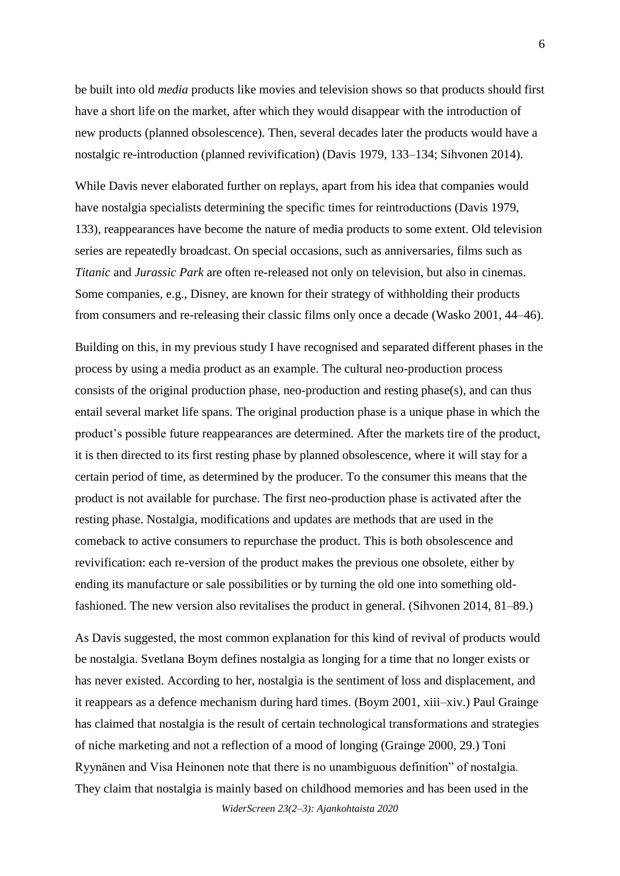be built into old *media* products like movies and television shows so that products should first have a short life on the market, after which they would disappear with the introduction of new products (planned obsolescence). Then, several decades later the products would have a nostalgic re-introduction (planned revivification) (Davis 1979, 133–134; Sihvonen 2014).

While Davis never elaborated further on replays, apart from his idea that companies would have nostalgia specialists determining the specific times for reintroductions (Davis 1979, 133), reappearances have become the nature of media products to some extent. Old television series are repeatedly broadcast. On special occasions, such as anniversaries, films such as *Titanic* and *Jurassic Park* are often re-released not only on television, but also in cinemas. Some companies, e.g., Disney, are known for their strategy of withholding their products from consumers and re-releasing their classic films only once a decade (Wasko 2001, 44–46).

Building on this, in my previous study I have recognised and separated different phases in the process by using a media product as an example. The cultural neo-production process consists of the original production phase, neo-production and resting phase $(s)$ , and can thus entail several market life spans. The original production phase is a unique phase in which the product's possible future reappearances are determined. After the markets tire of the product, it is then directed to its first resting phase by planned obsolescence, where it will stay for a certain period of time, as determined by the producer. To the consumer this means that the product is not available for purchase. The first neo-production phase is activated after the resting phase. Nostalgia, modifications and updates are methods that are used in the comeback to active consumers to repurchase the product. This is both obsolescence and revivification: each re-version of the product makes the previous one obsolete, either by ending its manufacture or sale possibilities or by turning the old one into something oldfashioned. The new version also revitalises the product in general. (Sihvonen 2014, 81–89.)

As Davis suggested, the most common explanation for this kind of revival of products would be nostalgia. Svetlana Boym defines nostalgia as longing for a time that no longer exists or has never existed. According to her, nostalgia is the sentiment of loss and displacement, and it reappears as a defence mechanism during hard times. (Boym 2001, xiii–xiv.) Paul Grainge has claimed that nostalgia is the result of certain technological transformations and strategies of niche marketing and not a reflection of a mood of longing (Grainge 2000, 29.) Toni Ryynänen and Visa Heinonen note that there is no unambiguous definition" of nostalgia. They claim that nostalgia is mainly based on childhood memories and has been used in the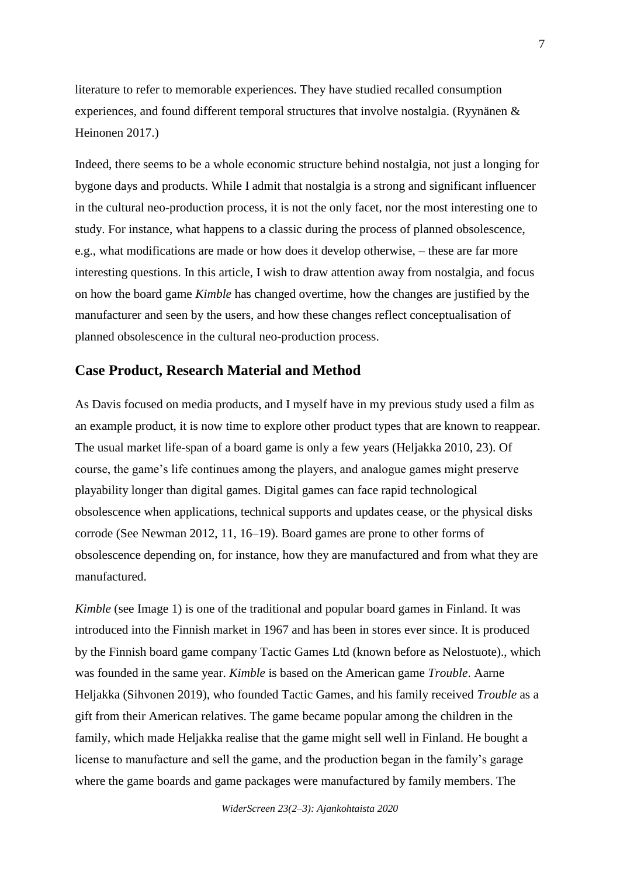literature to refer to memorable experiences. They have studied recalled consumption experiences, and found different temporal structures that involve nostalgia. (Ryynänen & Heinonen 2017.)

Indeed, there seems to be a whole economic structure behind nostalgia, not just a longing for bygone days and products. While I admit that nostalgia is a strong and significant influencer in the cultural neo-production process, it is not the only facet, nor the most interesting one to study. For instance, what happens to a classic during the process of planned obsolescence, e.g., what modifications are made or how does it develop otherwise, – these are far more interesting questions. In this article, I wish to draw attention away from nostalgia, and focus on how the board game *Kimble* has changed overtime, how the changes are justified by the manufacturer and seen by the users, and how these changes reflect conceptualisation of planned obsolescence in the cultural neo-production process.

#### **Case Product, Research Material and Method**

As Davis focused on media products, and I myself have in my previous study used a film as an example product, it is now time to explore other product types that are known to reappear. The usual market life-span of a board game is only a few years (Heljakka 2010, 23). Of course, the game's life continues among the players, and analogue games might preserve playability longer than digital games. Digital games can face rapid technological obsolescence when applications, technical supports and updates cease, or the physical disks corrode (See Newman 2012, 11, 16–19). Board games are prone to other forms of obsolescence depending on, for instance, how they are manufactured and from what they are manufactured.

*Kimble* (see Image 1) is one of the traditional and popular board games in Finland. It was introduced into the Finnish market in 1967 and has been in stores ever since. It is produced by the Finnish board game company Tactic Games Ltd (known before as Nelostuote)., which was founded in the same year. *Kimble* is based on the American game *Trouble*. Aarne Heljakka (Sihvonen 2019), who founded Tactic Games, and his family received *Trouble* as a gift from their American relatives. The game became popular among the children in the family, which made Heljakka realise that the game might sell well in Finland. He bought a license to manufacture and sell the game, and the production began in the family's garage where the game boards and game packages were manufactured by family members. The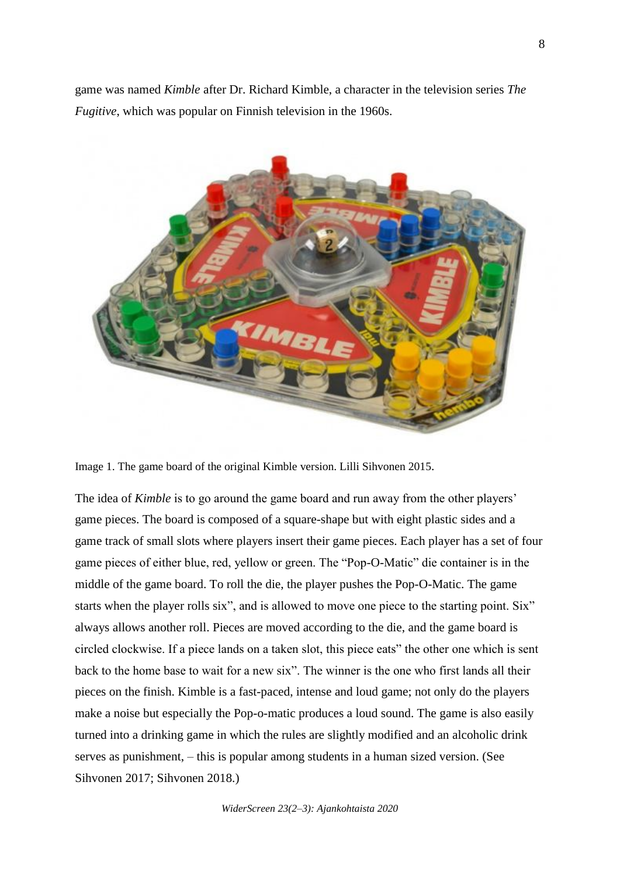game was named *Kimble* after Dr. Richard Kimble, a character in the television series *The Fugitive*, which was popular on Finnish television in the 1960s.



Image 1. The game board of the original Kimble version. Lilli Sihvonen 2015.

The idea of *Kimble* is to go around the game board and run away from the other players' game pieces. The board is composed of a square-shape but with eight plastic sides and a game track of small slots where players insert their game pieces. Each player has a set of four game pieces of either blue, red, yellow or green. The "Pop-O-Matic" die container is in the middle of the game board. To roll the die, the player pushes the Pop-O-Matic. The game starts when the player rolls six", and is allowed to move one piece to the starting point. Six" always allows another roll. Pieces are moved according to the die, and the game board is circled clockwise. If a piece lands on a taken slot, this piece eats" the other one which is sent back to the home base to wait for a new six". The winner is the one who first lands all their pieces on the finish. Kimble is a fast-paced, intense and loud game; not only do the players make a noise but especially the Pop-o-matic produces a loud sound. The game is also easily turned into a drinking game in which the rules are slightly modified and an alcoholic drink serves as punishment, – this is popular among students in a human sized version. (See Sihvonen 2017; Sihvonen 2018.)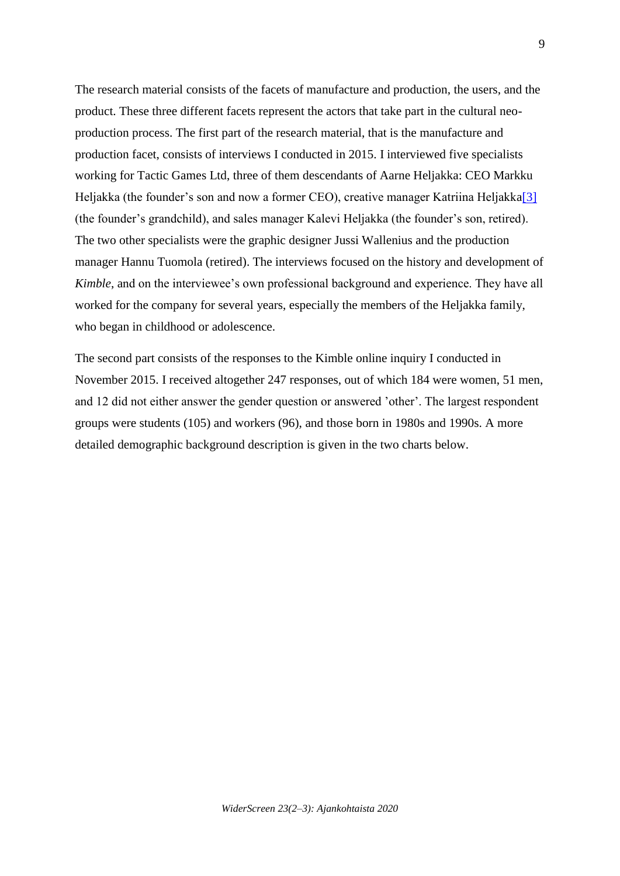The research material consists of the facets of manufacture and production, the users, and the product. These three different facets represent the actors that take part in the cultural neoproduction process. The first part of the research material, that is the manufacture and production facet, consists of interviews I conducted in 2015. I interviewed five specialists working for Tactic Games Ltd, three of them descendants of Aarne Heljakka: CEO Markku Heljakka (the founder's son and now a former CEO), creative manager Katriina Heljakka<sup>[3]</sup> (the founder's grandchild), and sales manager Kalevi Heljakka (the founder's son, retired). The two other specialists were the graphic designer Jussi Wallenius and the production manager Hannu Tuomola (retired). The interviews focused on the history and development of *Kimble*, and on the interviewee's own professional background and experience. They have all worked for the company for several years, especially the members of the Heljakka family, who began in childhood or adolescence.

The second part consists of the responses to the Kimble online inquiry I conducted in November 2015. I received altogether 247 responses, out of which 184 were women, 51 men, and 12 did not either answer the gender question or answered 'other'. The largest respondent groups were students (105) and workers (96), and those born in 1980s and 1990s. A more detailed demographic background description is given in the two charts below.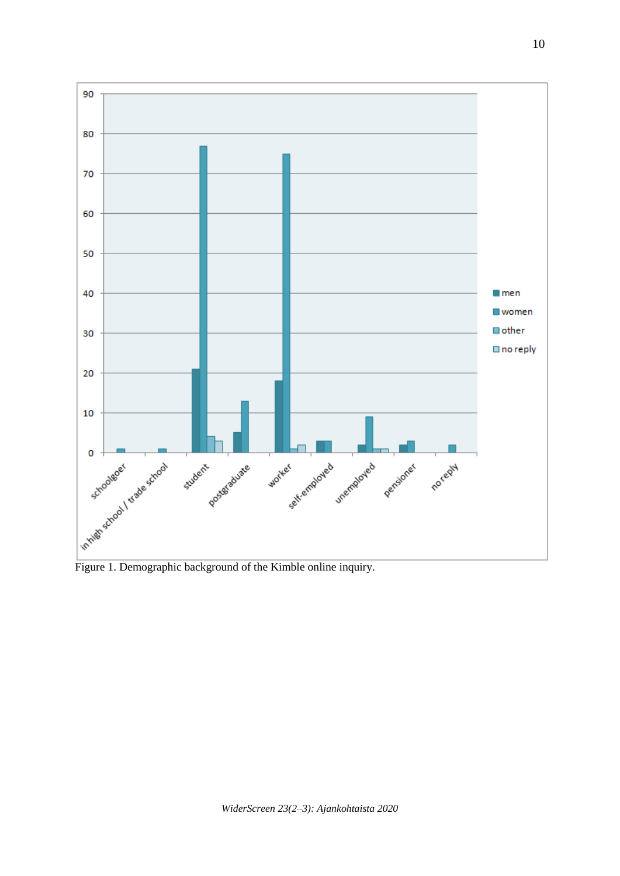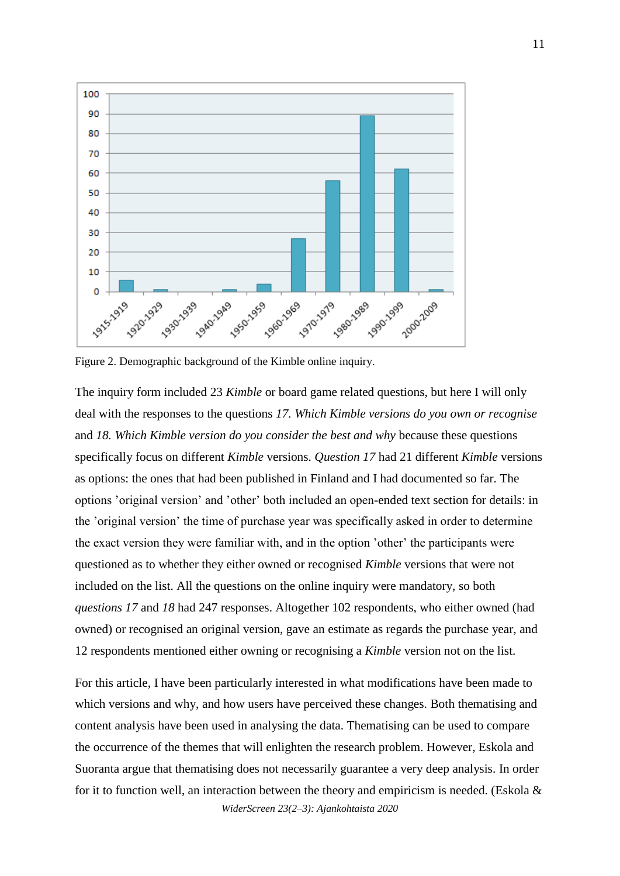

Figure 2. Demographic background of the Kimble online inquiry.

The inquiry form included 23 *Kimble* or board game related questions, but here I will only deal with the responses to the questions *17. Which Kimble versions do you own or recognise* and *18. Which Kimble version do you consider the best and why* because these questions specifically focus on different *Kimble* versions. *Question 17* had 21 different *Kimble* versions as options: the ones that had been published in Finland and I had documented so far. The options 'original version' and 'other' both included an open-ended text section for details: in the 'original version' the time of purchase year was specifically asked in order to determine the exact version they were familiar with, and in the option 'other' the participants were questioned as to whether they either owned or recognised *Kimble* versions that were not included on the list. All the questions on the online inquiry were mandatory, so both *questions 17* and *18* had 247 responses. Altogether 102 respondents, who either owned (had owned) or recognised an original version, gave an estimate as regards the purchase year, and 12 respondents mentioned either owning or recognising a *Kimble* version not on the list.

For this article, I have been particularly interested in what modifications have been made to which versions and why, and how users have perceived these changes. Both thematising and content analysis have been used in analysing the data. Thematising can be used to compare the occurrence of the themes that will enlighten the research problem. However, Eskola and Suoranta argue that thematising does not necessarily guarantee a very deep analysis. In order for it to function well, an interaction between the theory and empiricism is needed. (Eskola  $\&$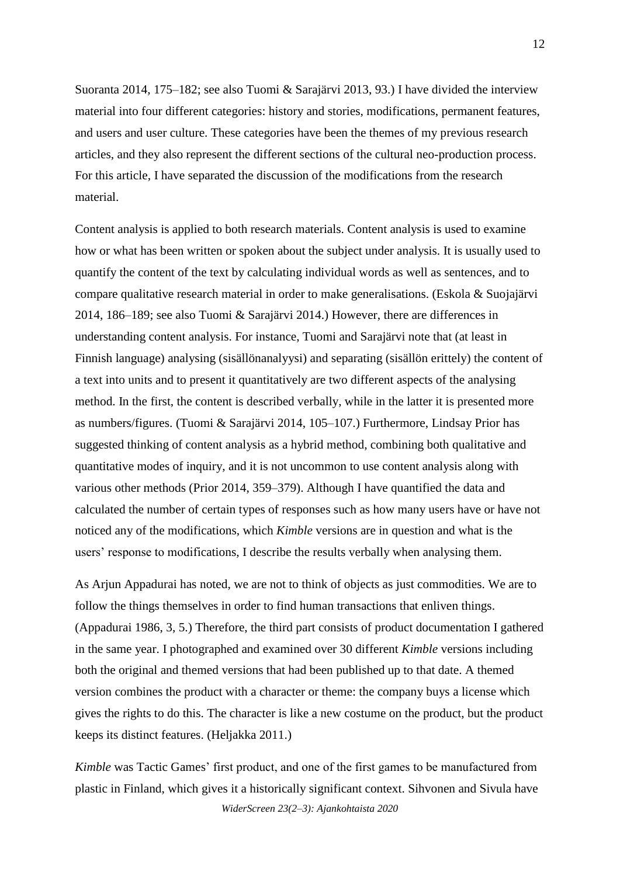Suoranta 2014, 175–182; see also Tuomi & Sarajärvi 2013, 93.) I have divided the interview material into four different categories: history and stories, modifications, permanent features, and users and user culture. These categories have been the themes of my previous research articles, and they also represent the different sections of the cultural neo-production process. For this article, I have separated the discussion of the modifications from the research material.

Content analysis is applied to both research materials. Content analysis is used to examine how or what has been written or spoken about the subject under analysis. It is usually used to quantify the content of the text by calculating individual words as well as sentences, and to compare qualitative research material in order to make generalisations. (Eskola & Suojajärvi 2014, 186–189; see also Tuomi & Sarajärvi 2014.) However, there are differences in understanding content analysis. For instance, Tuomi and Sarajärvi note that (at least in Finnish language) analysing (sisällönanalyysi) and separating (sisällön erittely) the content of a text into units and to present it quantitatively are two different aspects of the analysing method. In the first, the content is described verbally, while in the latter it is presented more as numbers/figures. (Tuomi & Sarajärvi 2014, 105–107.) Furthermore, Lindsay Prior has suggested thinking of content analysis as a hybrid method, combining both qualitative and quantitative modes of inquiry, and it is not uncommon to use content analysis along with various other methods (Prior 2014, 359–379). Although I have quantified the data and calculated the number of certain types of responses such as how many users have or have not noticed any of the modifications, which *Kimble* versions are in question and what is the users' response to modifications, I describe the results verbally when analysing them.

As Arjun Appadurai has noted, we are not to think of objects as just commodities. We are to follow the things themselves in order to find human transactions that enliven things. (Appadurai 1986, 3, 5.) Therefore, the third part consists of product documentation I gathered in the same year. I photographed and examined over 30 different *Kimble* versions including both the original and themed versions that had been published up to that date. A themed version combines the product with a character or theme: the company buys a license which gives the rights to do this. The character is like a new costume on the product, but the product keeps its distinct features. (Heljakka 2011.)

*Kimble* was Tactic Games' first product, and one of the first games to be manufactured from plastic in Finland, which gives it a historically significant context. Sihvonen and Sivula have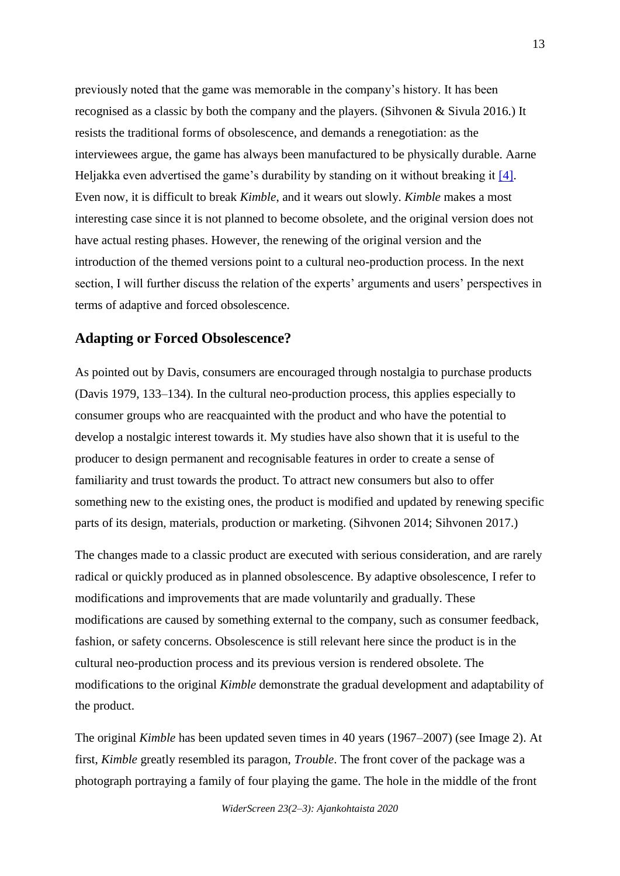previously noted that the game was memorable in the company's history. It has been recognised as a classic by both the company and the players. (Sihvonen & Sivula 2016.) It resists the traditional forms of obsolescence, and demands a renegotiation: as the interviewees argue, the game has always been manufactured to be physically durable. Aarne Heljakka even advertised the game's durability by standing on it without breaking it [\[4\].](http://widerscreen.fi/numerot/ajankohtaista/classics-age-the-flexibility-of-planned-obsolescence-in-terms-of-the-classic-finnish-board-game-kimble/?preview_id=5078&preview_nonce=270115153c&preview=true#_edn4) Even now, it is difficult to break *Kimble*, and it wears out slowly. *Kimble* makes a most interesting case since it is not planned to become obsolete, and the original version does not have actual resting phases. However, the renewing of the original version and the introduction of the themed versions point to a cultural neo-production process. In the next section, I will further discuss the relation of the experts' arguments and users' perspectives in terms of adaptive and forced obsolescence.

## **Adapting or Forced Obsolescence?**

As pointed out by Davis, consumers are encouraged through nostalgia to purchase products (Davis 1979, 133–134). In the cultural neo-production process, this applies especially to consumer groups who are reacquainted with the product and who have the potential to develop a nostalgic interest towards it. My studies have also shown that it is useful to the producer to design permanent and recognisable features in order to create a sense of familiarity and trust towards the product. To attract new consumers but also to offer something new to the existing ones, the product is modified and updated by renewing specific parts of its design, materials, production or marketing. (Sihvonen 2014; Sihvonen 2017.)

The changes made to a classic product are executed with serious consideration, and are rarely radical or quickly produced as in planned obsolescence. By adaptive obsolescence, I refer to modifications and improvements that are made voluntarily and gradually. These modifications are caused by something external to the company, such as consumer feedback, fashion, or safety concerns. Obsolescence is still relevant here since the product is in the cultural neo-production process and its previous version is rendered obsolete. The modifications to the original *Kimble* demonstrate the gradual development and adaptability of the product.

The original *Kimble* has been updated seven times in 40 years (1967–2007) (see Image 2). At first, *Kimble* greatly resembled its paragon, *Trouble*. The front cover of the package was a photograph portraying a family of four playing the game. The hole in the middle of the front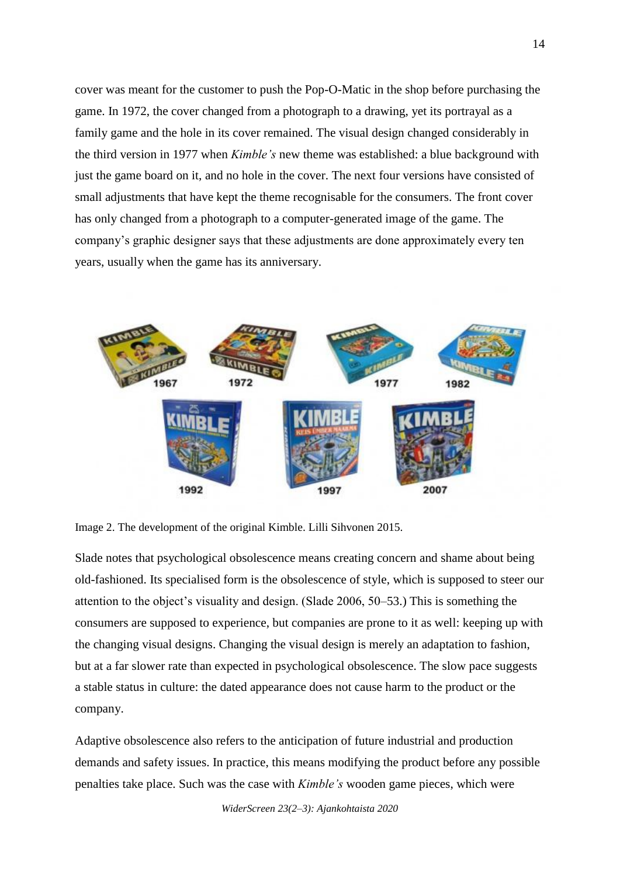cover was meant for the customer to push the Pop-O-Matic in the shop before purchasing the game. In 1972, the cover changed from a photograph to a drawing, yet its portrayal as a family game and the hole in its cover remained. The visual design changed considerably in the third version in 1977 when *Kimble's* new theme was established: a blue background with just the game board on it, and no hole in the cover. The next four versions have consisted of small adjustments that have kept the theme recognisable for the consumers. The front cover has only changed from a photograph to a computer-generated image of the game. The company's graphic designer says that these adjustments are done approximately every ten years, usually when the game has its anniversary.



Image 2. The development of the original Kimble. Lilli Sihvonen 2015.

Slade notes that psychological obsolescence means creating concern and shame about being old-fashioned. Its specialised form is the obsolescence of style, which is supposed to steer our attention to the object's visuality and design. (Slade 2006, 50–53.) This is something the consumers are supposed to experience, but companies are prone to it as well: keeping up with the changing visual designs. Changing the visual design is merely an adaptation to fashion, but at a far slower rate than expected in psychological obsolescence. The slow pace suggests a stable status in culture: the dated appearance does not cause harm to the product or the company.

Adaptive obsolescence also refers to the anticipation of future industrial and production demands and safety issues. In practice, this means modifying the product before any possible penalties take place. Such was the case with *Kimble's* wooden game pieces, which were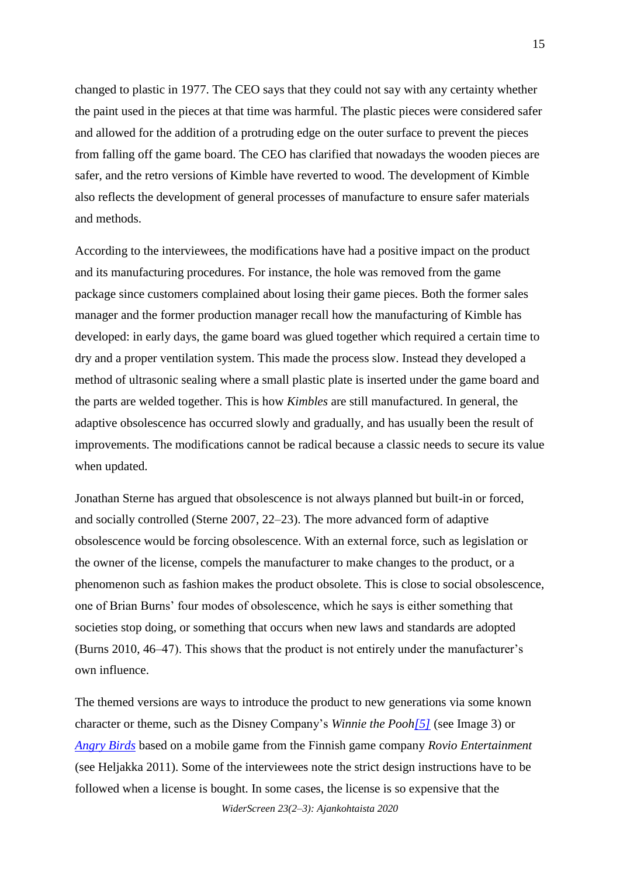changed to plastic in 1977. The CEO says that they could not say with any certainty whether the paint used in the pieces at that time was harmful. The plastic pieces were considered safer and allowed for the addition of a protruding edge on the outer surface to prevent the pieces from falling off the game board. The CEO has clarified that nowadays the wooden pieces are safer, and the retro versions of Kimble have reverted to wood. The development of Kimble also reflects the development of general processes of manufacture to ensure safer materials and methods.

According to the interviewees, the modifications have had a positive impact on the product and its manufacturing procedures. For instance, the hole was removed from the game package since customers complained about losing their game pieces. Both the former sales manager and the former production manager recall how the manufacturing of Kimble has developed: in early days, the game board was glued together which required a certain time to dry and a proper ventilation system. This made the process slow. Instead they developed a method of ultrasonic sealing where a small plastic plate is inserted under the game board and the parts are welded together. This is how *Kimbles* are still manufactured. In general, the adaptive obsolescence has occurred slowly and gradually, and has usually been the result of improvements. The modifications cannot be radical because a classic needs to secure its value when updated.

Jonathan Sterne has argued that obsolescence is not always planned but built-in or forced, and socially controlled (Sterne 2007, 22–23). The more advanced form of adaptive obsolescence would be forcing obsolescence. With an external force, such as legislation or the owner of the license, compels the manufacturer to make changes to the product, or a phenomenon such as fashion makes the product obsolete. This is close to social obsolescence, one of Brian Burns' four modes of obsolescence, which he says is either something that societies stop doing, or something that occurs when new laws and standards are adopted (Burns 2010, 46–47). This shows that the product is not entirely under the manufacturer's own influence.

The themed versions are ways to introduce the product to new generations via some known character or theme, such as the Disney Company's *Winnie the Poo[h\[5\]](http://widerscreen.fi/numerot/ajankohtaista/classics-age-the-flexibility-of-planned-obsolescence-in-terms-of-the-classic-finnish-board-game-kimble/?preview_id=5078&preview_nonce=270115153c&preview=true#_edn5)* (see Image 3) or *[Angry Birds](http://angrybirds.com/)* based on a mobile game from the Finnish game company *Rovio Entertainment* (see Heljakka 2011). Some of the interviewees note the strict design instructions have to be followed when a license is bought. In some cases, the license is so expensive that the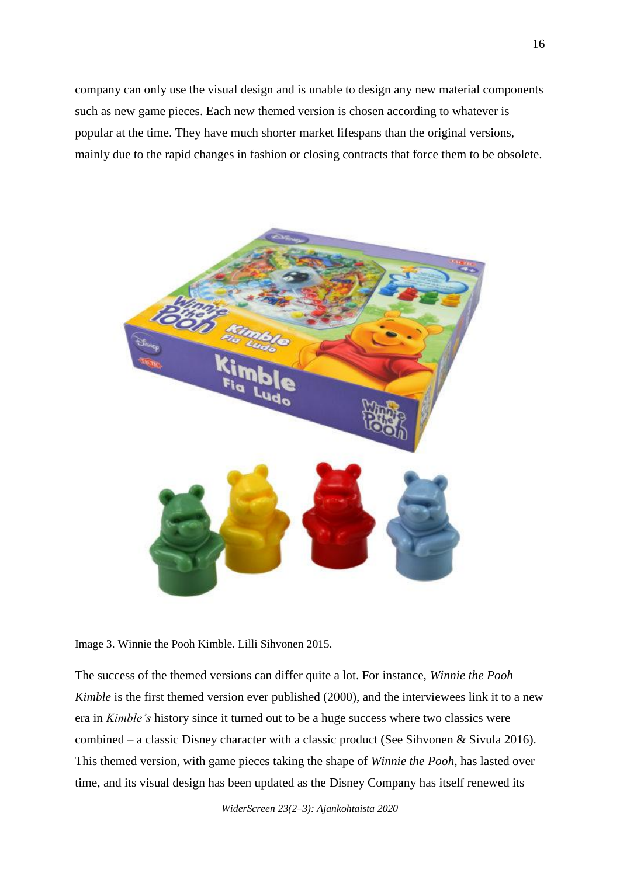company can only use the visual design and is unable to design any new material components such as new game pieces. Each new themed version is chosen according to whatever is popular at the time. They have much shorter market lifespans than the original versions, mainly due to the rapid changes in fashion or closing contracts that force them to be obsolete.



Image 3. Winnie the Pooh Kimble. Lilli Sihvonen 2015.

The success of the themed versions can differ quite a lot. For instance, *Winnie the Pooh Kimble* is the first themed version ever published (2000), and the interviewees link it to a new era in *Kimble's* history since it turned out to be a huge success where two classics were combined – a classic Disney character with a classic product (See Sihvonen & Sivula 2016). This themed version, with game pieces taking the shape of *Winnie the Pooh*, has lasted over time, and its visual design has been updated as the Disney Company has itself renewed its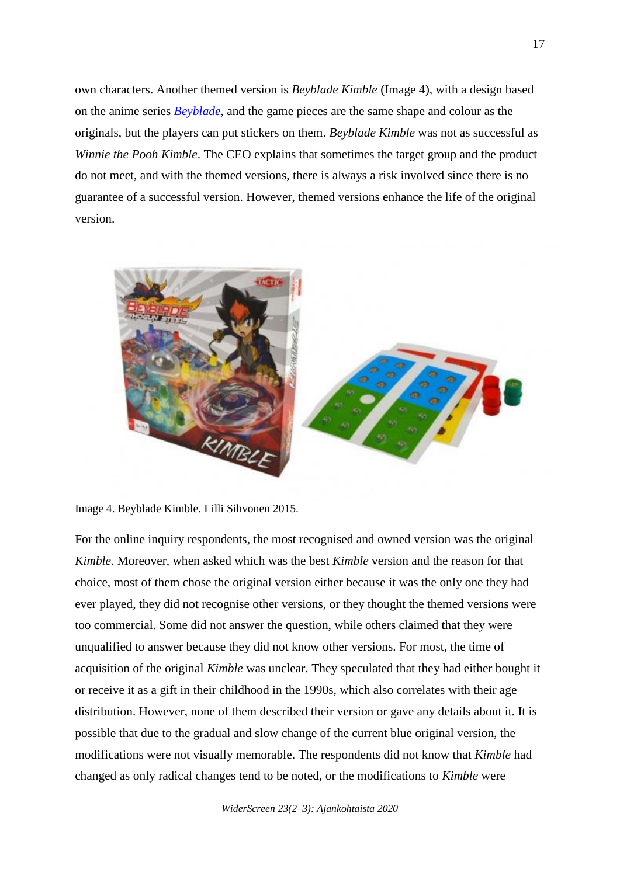own characters. Another themed version is *Beyblade Kimble* (Image 4), with a design based on the anime series *[Beyblade](http://beyblade.com/)*, and the game pieces are the same shape and colour as the originals, but the players can put stickers on them. *Beyblade Kimble* was not as successful as *Winnie the Pooh Kimble*. The CEO explains that sometimes the target group and the product do not meet, and with the themed versions, there is always a risk involved since there is no guarantee of a successful version. However, themed versions enhance the life of the original version.



Image 4. Beyblade Kimble. Lilli Sihvonen 2015.

For the online inquiry respondents, the most recognised and owned version was the original *Kimble*. Moreover, when asked which was the best *Kimble* version and the reason for that choice, most of them chose the original version either because it was the only one they had ever played, they did not recognise other versions, or they thought the themed versions were too commercial. Some did not answer the question, while others claimed that they were unqualified to answer because they did not know other versions. For most, the time of acquisition of the original *Kimble* was unclear. They speculated that they had either bought it or receive it as a gift in their childhood in the 1990s, which also correlates with their age distribution. However, none of them described their version or gave any details about it. It is possible that due to the gradual and slow change of the current blue original version, the modifications were not visually memorable. The respondents did not know that *Kimble* had changed as only radical changes tend to be noted, or the modifications to *Kimble* were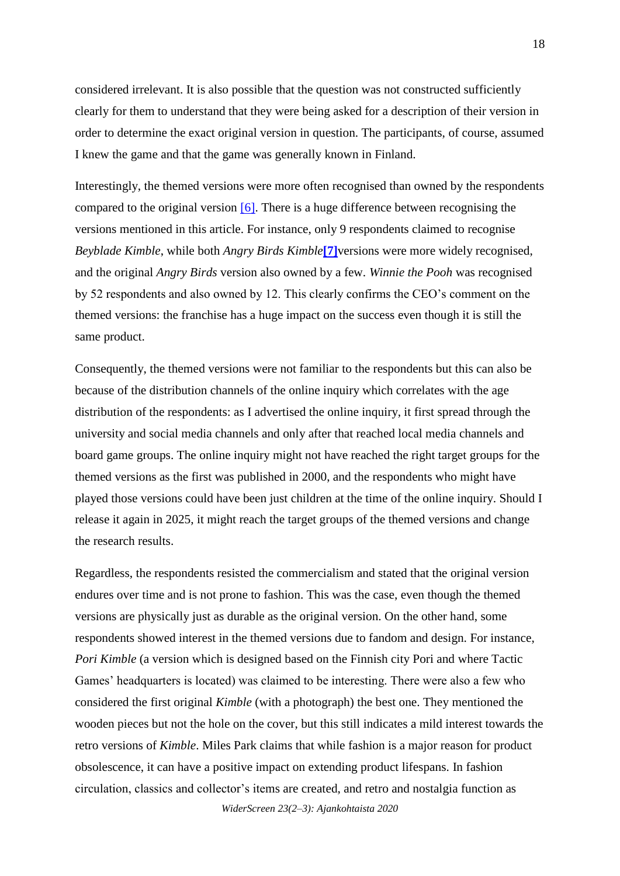considered irrelevant. It is also possible that the question was not constructed sufficiently clearly for them to understand that they were being asked for a description of their version in order to determine the exact original version in question. The participants, of course, assumed I knew the game and that the game was generally known in Finland.

Interestingly, the themed versions were more often recognised than owned by the respondents compared to the original version  $[6]$ . There is a huge difference between recognising the versions mentioned in this article. For instance, only 9 respondents claimed to recognise *Beyblade Kimble*, while both *Angry Birds Kimble***[\[7\]](http://widerscreen.fi/numerot/ajankohtaista/classics-age-the-flexibility-of-planned-obsolescence-in-terms-of-the-classic-finnish-board-game-kimble/?preview_id=5078&preview_nonce=270115153c&preview=true#_edn7)**versions were more widely recognised, and the original *Angry Birds* version also owned by a few. *Winnie the Pooh* was recognised by 52 respondents and also owned by 12. This clearly confirms the CEO's comment on the themed versions: the franchise has a huge impact on the success even though it is still the same product.

Consequently, the themed versions were not familiar to the respondents but this can also be because of the distribution channels of the online inquiry which correlates with the age distribution of the respondents: as I advertised the online inquiry, it first spread through the university and social media channels and only after that reached local media channels and board game groups. The online inquiry might not have reached the right target groups for the themed versions as the first was published in 2000, and the respondents who might have played those versions could have been just children at the time of the online inquiry. Should I release it again in 2025, it might reach the target groups of the themed versions and change the research results.

Regardless, the respondents resisted the commercialism and stated that the original version endures over time and is not prone to fashion. This was the case, even though the themed versions are physically just as durable as the original version. On the other hand, some respondents showed interest in the themed versions due to fandom and design. For instance, *Pori Kimble* (a version which is designed based on the Finnish city Pori and where Tactic Games' headquarters is located) was claimed to be interesting. There were also a few who considered the first original *Kimble* (with a photograph) the best one. They mentioned the wooden pieces but not the hole on the cover, but this still indicates a mild interest towards the retro versions of *Kimble*. Miles Park claims that while fashion is a major reason for product obsolescence, it can have a positive impact on extending product lifespans. In fashion circulation, classics and collector's items are created, and retro and nostalgia function as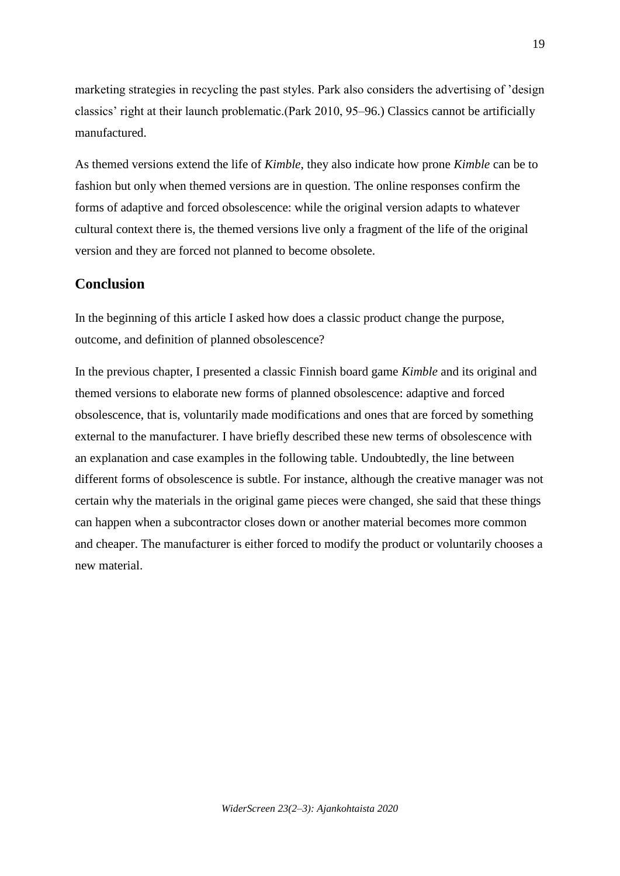marketing strategies in recycling the past styles. Park also considers the advertising of 'design classics' right at their launch problematic.(Park 2010, 95–96.) Classics cannot be artificially manufactured.

As themed versions extend the life of *Kimble*, they also indicate how prone *Kimble* can be to fashion but only when themed versions are in question. The online responses confirm the forms of adaptive and forced obsolescence: while the original version adapts to whatever cultural context there is, the themed versions live only a fragment of the life of the original version and they are forced not planned to become obsolete.

#### **Conclusion**

In the beginning of this article I asked how does a classic product change the purpose, outcome, and definition of planned obsolescence?

In the previous chapter, I presented a classic Finnish board game *Kimble* and its original and themed versions to elaborate new forms of planned obsolescence: adaptive and forced obsolescence, that is, voluntarily made modifications and ones that are forced by something external to the manufacturer. I have briefly described these new terms of obsolescence with an explanation and case examples in the following table. Undoubtedly, the line between different forms of obsolescence is subtle. For instance, although the creative manager was not certain why the materials in the original game pieces were changed, she said that these things can happen when a subcontractor closes down or another material becomes more common and cheaper. The manufacturer is either forced to modify the product or voluntarily chooses a new material.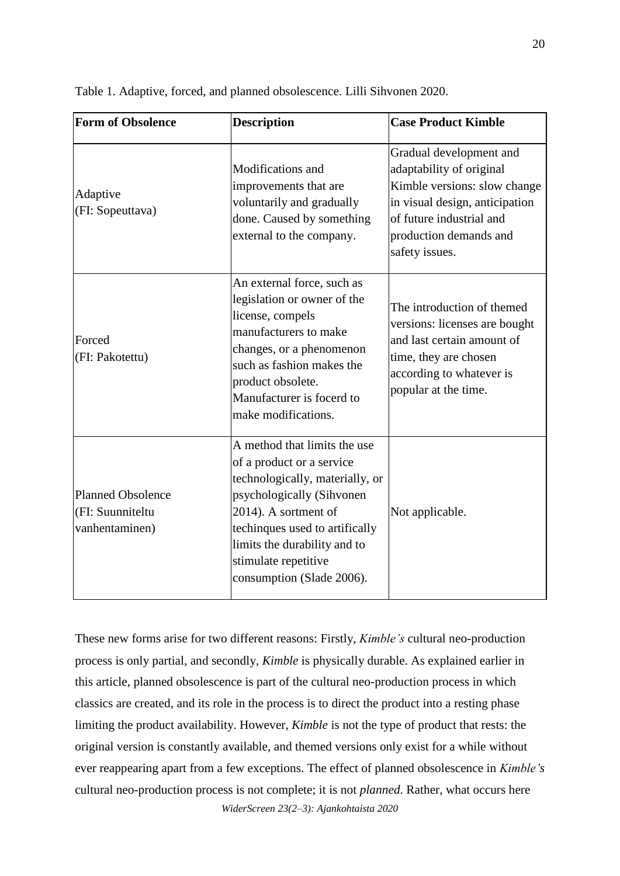| <b>Form of Obsolence</b>                                       | <b>Description</b>                                                                                                                                                                                                                                                       | <b>Case Product Kimble</b>                                                                                                                                                                    |
|----------------------------------------------------------------|--------------------------------------------------------------------------------------------------------------------------------------------------------------------------------------------------------------------------------------------------------------------------|-----------------------------------------------------------------------------------------------------------------------------------------------------------------------------------------------|
| Adaptive<br>(FI: Sopeuttava)                                   | Modifications and<br>improvements that are<br>voluntarily and gradually<br>done. Caused by something<br>external to the company.                                                                                                                                         | Gradual development and<br>adaptability of original<br>Kimble versions: slow change<br>in visual design, anticipation<br>of future industrial and<br>production demands and<br>safety issues. |
| Forced<br>(FI: Pakotettu)                                      | An external force, such as<br>legislation or owner of the<br>license, compels<br>manufacturers to make<br>changes, or a phenomenon<br>such as fashion makes the<br>product obsolete.<br>Manufacturer is focerd to<br>make modifications.                                 | The introduction of themed<br>versions: licenses are bought<br>and last certain amount of<br>time, they are chosen<br>according to whatever is<br>popular at the time.                        |
| <b>Planned Obsolence</b><br>(FI: Suunniteltu<br>vanhentaminen) | A method that limits the use<br>of a product or a service<br>technologically, materially, or<br>psychologically (Sihvonen<br>2014). A sortment of<br>techinques used to artifically<br>limits the durability and to<br>stimulate repetitive<br>consumption (Slade 2006). | Not applicable.                                                                                                                                                                               |

Table 1. Adaptive, forced, and planned obsolescence. Lilli Sihvonen 2020.

These new forms arise for two different reasons: Firstly, *Kimble's* cultural neo-production process is only partial, and secondly, *Kimble* is physically durable. As explained earlier in this article, planned obsolescence is part of the cultural neo-production process in which classics are created, and its role in the process is to direct the product into a resting phase limiting the product availability. However, *Kimble* is not the type of product that rests: the original version is constantly available, and themed versions only exist for a while without ever reappearing apart from a few exceptions. The effect of planned obsolescence in *Kimble's* cultural neo-production process is not complete; it is not *planned*. Rather, what occurs here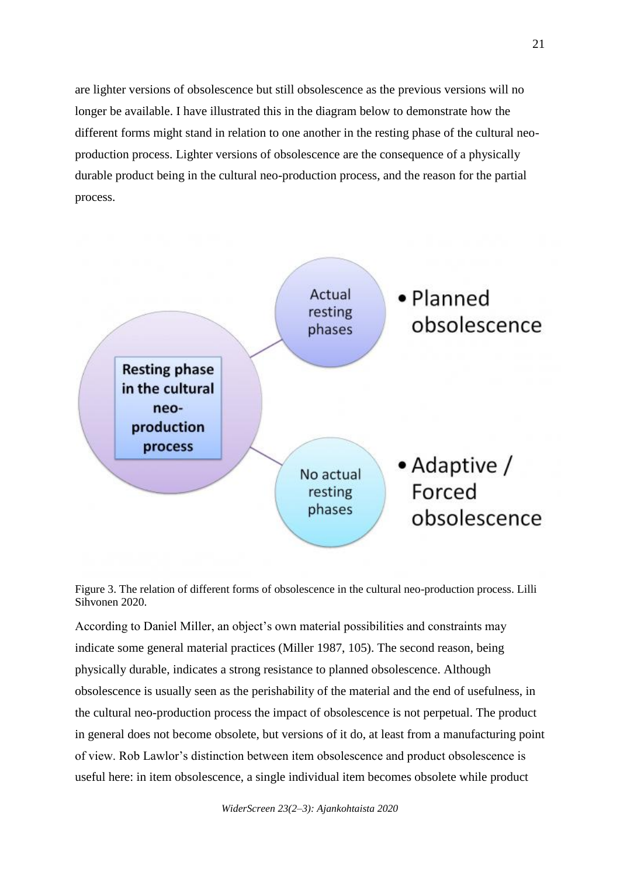are lighter versions of obsolescence but still obsolescence as the previous versions will no longer be available. I have illustrated this in the diagram below to demonstrate how the different forms might stand in relation to one another in the resting phase of the cultural neoproduction process. Lighter versions of obsolescence are the consequence of a physically durable product being in the cultural neo-production process, and the reason for the partial process.





According to Daniel Miller, an object's own material possibilities and constraints may indicate some general material practices (Miller 1987, 105). The second reason, being physically durable, indicates a strong resistance to planned obsolescence. Although obsolescence is usually seen as the perishability of the material and the end of usefulness, in the cultural neo-production process the impact of obsolescence is not perpetual. The product in general does not become obsolete, but versions of it do, at least from a manufacturing point of view. Rob Lawlor's distinction between item obsolescence and product obsolescence is useful here: in item obsolescence, a single individual item becomes obsolete while product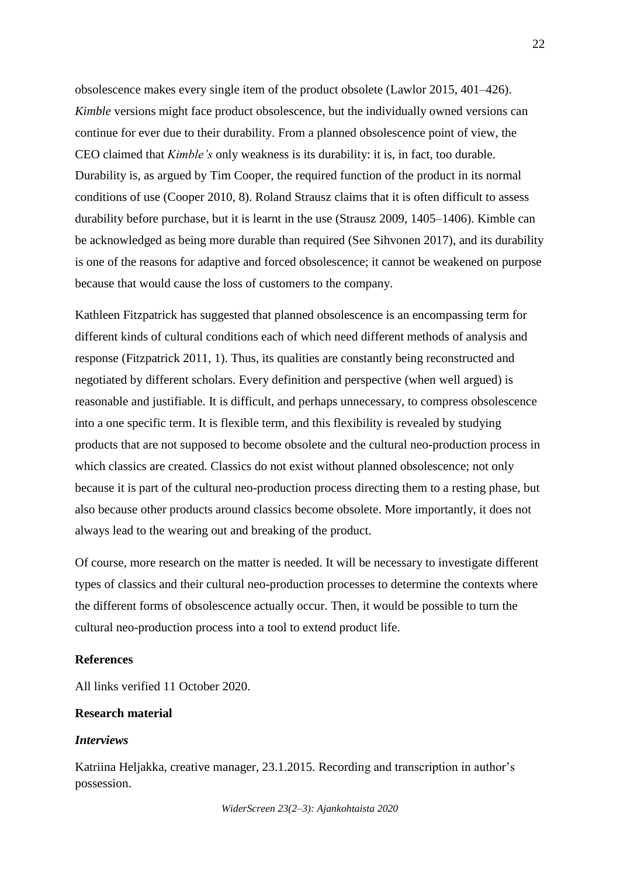obsolescence makes every single item of the product obsolete (Lawlor 2015, 401–426). *Kimble* versions might face product obsolescence, but the individually owned versions can continue for ever due to their durability. From a planned obsolescence point of view, the CEO claimed that *Kimble's* only weakness is its durability: it is, in fact, too durable. Durability is, as argued by Tim Cooper, the required function of the product in its normal conditions of use (Cooper 2010, 8). Roland Strausz claims that it is often difficult to assess durability before purchase, but it is learnt in the use (Strausz 2009, 1405–1406). Kimble can be acknowledged as being more durable than required (See Sihvonen 2017), and its durability is one of the reasons for adaptive and forced obsolescence; it cannot be weakened on purpose because that would cause the loss of customers to the company.

Kathleen Fitzpatrick has suggested that planned obsolescence is an encompassing term for different kinds of cultural conditions each of which need different methods of analysis and response (Fitzpatrick 2011, 1). Thus, its qualities are constantly being reconstructed and negotiated by different scholars. Every definition and perspective (when well argued) is reasonable and justifiable. It is difficult, and perhaps unnecessary, to compress obsolescence into a one specific term. It is flexible term, and this flexibility is revealed by studying products that are not supposed to become obsolete and the cultural neo-production process in which classics are created. Classics do not exist without planned obsolescence; not only because it is part of the cultural neo-production process directing them to a resting phase, but also because other products around classics become obsolete. More importantly, it does not always lead to the wearing out and breaking of the product.

Of course, more research on the matter is needed. It will be necessary to investigate different types of classics and their cultural neo-production processes to determine the contexts where the different forms of obsolescence actually occur. Then, it would be possible to turn the cultural neo-production process into a tool to extend product life.

#### **References**

All links verified 11 October 2020.

### **Research material**

#### *Interviews*

Katriina Heljakka, creative manager, 23.1.2015. Recording and transcription in author's possession.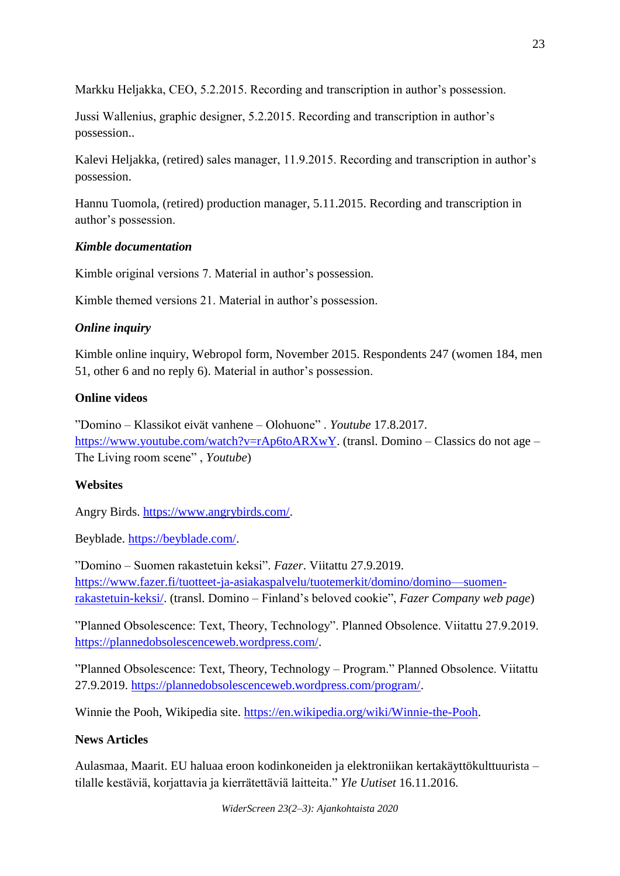Markku Heljakka, CEO, 5.2.2015. Recording and transcription in author's possession.

Jussi Wallenius, graphic designer, 5.2.2015. Recording and transcription in author's possession..

Kalevi Heljakka, (retired) sales manager, 11.9.2015. Recording and transcription in author's possession.

Hannu Tuomola, (retired) production manager, 5.11.2015. Recording and transcription in author's possession.

## *Kimble documentation*

Kimble original versions 7. Material in author's possession.

Kimble themed versions 21. Material in author's possession.

## *Online inquiry*

Kimble online inquiry, Webropol form, November 2015. Respondents 247 (women 184, men 51, other 6 and no reply 6). Material in author's possession.

## **Online videos**

"Domino – Klassikot eivät vanhene – Olohuone" . *Youtube* 17.8.2017. [https://www.youtube.com/watch?v=rAp6toARXwY.](https://www.youtube.com/watch?v=rAp6toARXwY) (transl. Domino – Classics do not age – The Living room scene" , *Youtube*)

# **Websites**

Angry Birds. [https://www.angrybirds.com/.](https://www.angrybirds.com/)

Beyblade. [https://beyblade.com/.](https://beyblade.com/)

"Domino – Suomen rakastetuin keksi". *Fazer*. Viitattu 27.9.2019. [https://www.fazer.fi/tuotteet-ja-asiakaspalvelu/tuotemerkit/domino/domino—suomen](https://www.fazer.fi/tuotteet-ja-asiakaspalvelu/tuotemerkit/domino/domino---suomen-rakastetuin-keksi/)[rakastetuin-keksi/.](https://www.fazer.fi/tuotteet-ja-asiakaspalvelu/tuotemerkit/domino/domino---suomen-rakastetuin-keksi/) (transl. Domino – Finland's beloved cookie", *Fazer Company web page*)

"Planned Obsolescence: Text, Theory, Technology". Planned Obsolence. Viitattu 27.9.2019. [https://plannedobsolescenceweb.wordpress.com/.](https://plannedobsolescenceweb.wordpress.com/)

"Planned Obsolescence: Text, Theory, Technology – Program." Planned Obsolence. Viitattu 27.9.2019. [https://plannedobsolescenceweb.wordpress.com/program/.](https://plannedobsolescenceweb.wordpress.com/program/)

Winnie the Pooh, Wikipedia site. [https://en.wikipedia.org/wiki/Winnie-the-Pooh.](https://en.wikipedia.org/wiki/Winnie-the-Pooh)

# **News Articles**

Aulasmaa, Maarit. EU haluaa eroon kodinkoneiden ja elektroniikan kertakäyttökulttuurista – tilalle kestäviä, korjattavia ja kierrätettäviä laitteita." *Yle Uutiset* 16.11.2016.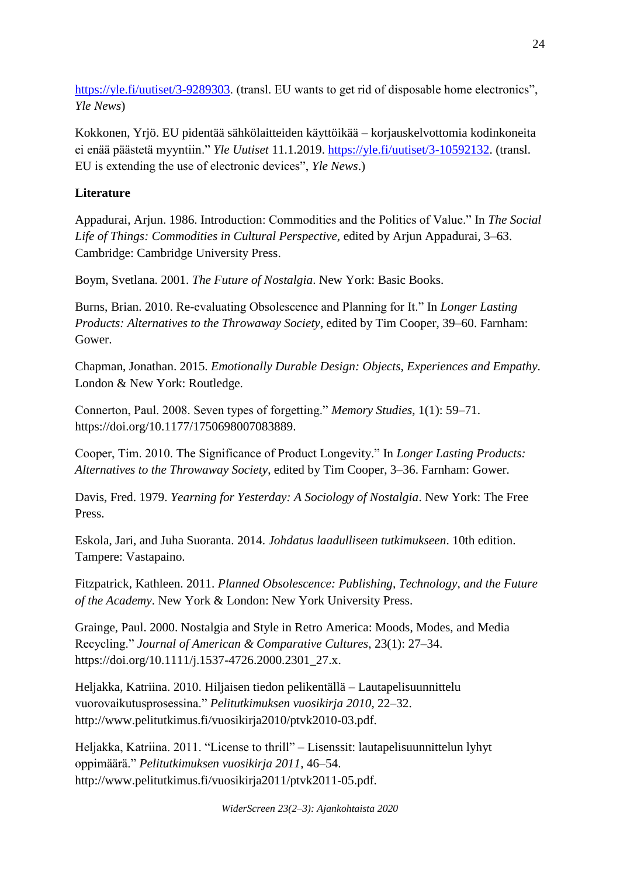[https://yle.fi/uutiset/3-9289303.](https://yle.fi/uutiset/3-9289303) (transl. EU wants to get rid of disposable home electronics", *Yle News*)

Kokkonen, Yrjö. EU pidentää sähkölaitteiden käyttöikää – korjauskelvottomia kodinkoneita ei enää päästetä myyntiin." *Yle Uutiset* 11.1.2019. [https://yle.fi/uutiset/3-10592132.](https://yle.fi/uutiset/3-10592132) (transl. EU is extending the use of electronic devices", *Yle News*.)

## **Literature**

Appadurai, Arjun. 1986. Introduction: Commodities and the Politics of Value." In *The Social Life of Things: Commodities in Cultural Perspective,* edited by Arjun Appadurai, 3–63. Cambridge: Cambridge University Press.

Boym, Svetlana. 2001. *The Future of Nostalgia*. New York: Basic Books.

Burns, Brian. 2010. Re-evaluating Obsolescence and Planning for It." In *Longer Lasting Products: Alternatives to the Throwaway Society*, edited by Tim Cooper, 39–60. Farnham: Gower.

Chapman, Jonathan. 2015. *Emotionally Durable Design: Objects, Experiences and Empathy*. London & New York: Routledge.

Connerton, Paul. 2008. Seven types of forgetting." *Memory Studies*, 1(1): 59–71. https://doi.org/10.1177/1750698007083889.

Cooper, Tim. 2010. The Significance of Product Longevity." In *Longer Lasting Products: Alternatives to the Throwaway Society*, edited by Tim Cooper, 3–36. Farnham: Gower.

Davis, Fred. 1979. *Yearning for Yesterday: A Sociology of Nostalgia*. New York: The Free Press.

Eskola, Jari, and Juha Suoranta. 2014. *Johdatus laadulliseen tutkimukseen*. 10th edition. Tampere: Vastapaino.

Fitzpatrick, Kathleen. 2011. *Planned Obsolescence: Publishing, Technology, and the Future of the Academy*. New York & London: New York University Press.

Grainge, Paul. 2000. Nostalgia and Style in Retro America: Moods, Modes, and Media Recycling." *Journal of American & Comparative Cultures*, 23(1): 27–34. https://doi.org/10.1111/j.1537-4726.2000.2301\_27.x.

Heljakka, Katriina. 2010. Hiljaisen tiedon pelikentällä – Lautapelisuunnittelu vuorovaikutusprosessina." *Pelitutkimuksen vuosikirja 2010*, 22–32. http://www.pelitutkimus.fi/vuosikirja2010/ptvk2010-03.pdf.

Heljakka, Katriina. 2011. "License to thrill" – Lisenssit: lautapelisuunnittelun lyhyt oppimäärä." *Pelitutkimuksen vuosikirja 2011*, 46–54. http://www.pelitutkimus.fi/vuosikirja2011/ptvk2011-05.pdf.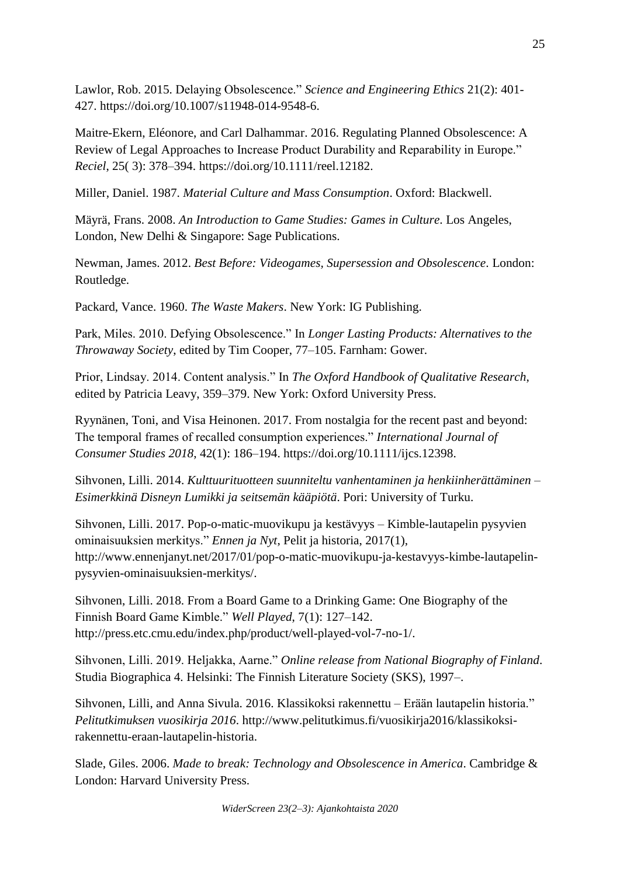Lawlor, Rob. 2015. Delaying Obsolescence." *Science and Engineering Ethics* 21(2): 401- 427. https://doi.org/10.1007/s11948-014-9548-6.

Maitre-Ekern, Eléonore, and Carl Dalhammar. 2016. Regulating Planned Obsolescence: A Review of Legal Approaches to Increase Product Durability and Reparability in Europe." *Reciel*, 25( 3): 378–394. https://doi.org/10.1111/reel.12182.

Miller, Daniel. 1987. *Material Culture and Mass Consumption*. Oxford: Blackwell.

Mäyrä, Frans. 2008. *An Introduction to Game Studies: Games in Culture*. Los Angeles, London, New Delhi & Singapore: Sage Publications.

Newman, James. 2012. *Best Before: Videogames, Supersession and Obsolescence*. London: Routledge.

Packard, Vance. 1960. *The Waste Makers*. New York: IG Publishing.

Park, Miles. 2010. Defying Obsolescence." In *Longer Lasting Products: Alternatives to the Throwaway Society*, edited by Tim Cooper, 77–105. Farnham: Gower.

Prior, Lindsay. 2014. Content analysis." In *The Oxford Handbook of Qualitative Research*, edited by Patricia Leavy, 359–379. New York: Oxford University Press.

Ryynänen, Toni, and Visa Heinonen. 2017. From nostalgia for the recent past and beyond: The temporal frames of recalled consumption experiences." *International Journal of Consumer Studies 2018*, 42(1): 186–194. https://doi.org/10.1111/ijcs.12398.

Sihvonen, Lilli. 2014. *Kulttuurituotteen suunniteltu vanhentaminen ja henkiinherättäminen – Esimerkkinä Disneyn Lumikki ja seitsemän kääpiötä*. Pori: University of Turku.

Sihvonen, Lilli. 2017. Pop-o-matic-muovikupu ja kestävyys – Kimble-lautapelin pysyvien ominaisuuksien merkitys." *Ennen ja Nyt*, Pelit ja historia, 2017(1), http://www.ennenjanyt.net/2017/01/pop-o-matic-muovikupu-ja-kestavyys-kimbe-lautapelinpysyvien-ominaisuuksien-merkitys/.

Sihvonen, Lilli. 2018. From a Board Game to a Drinking Game: One Biography of the Finnish Board Game Kimble." *Well Played*, 7(1): 127–142. http://press.etc.cmu.edu/index.php/product/well-played-vol-7-no-1/.

Sihvonen, Lilli. 2019. Heljakka, Aarne." *Online release from National Biography of Finland*. Studia Biographica 4. Helsinki: The Finnish Literature Society (SKS), 1997–.

Sihvonen, Lilli, and Anna Sivula. 2016. Klassikoksi rakennettu – Erään lautapelin historia." *Pelitutkimuksen vuosikirja 2016*. http://www.pelitutkimus.fi/vuosikirja2016/klassikoksirakennettu-eraan-lautapelin-historia.

Slade, Giles. 2006. *Made to break: Technology and Obsolescence in America*. Cambridge & London: Harvard University Press.